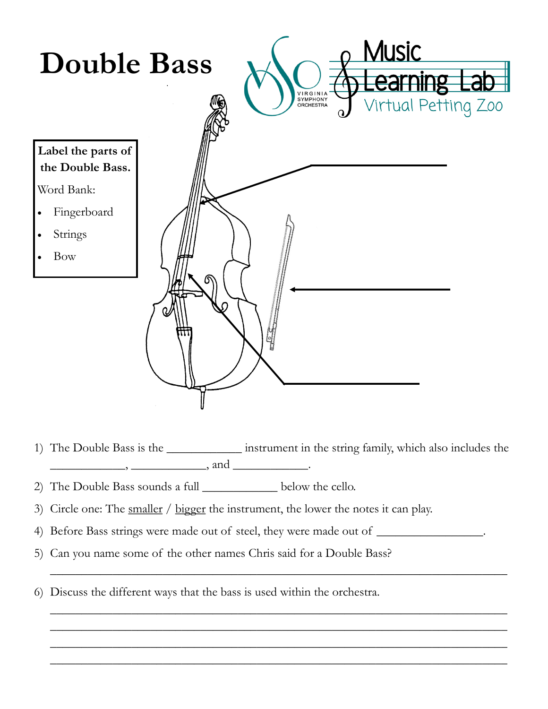

- 1) The Double Bass is the \_\_\_\_\_\_\_\_\_\_\_\_ instrument in the string family, which also includes the  $\qquad \qquad$ ,  $\qquad \qquad$ , and  $\qquad \qquad$ .
- 2) The Double Bass sounds a full \_\_\_\_\_\_\_\_\_\_\_\_ below the cello.
- 3) Circle one: The smaller / bigger the instrument, the lower the notes it can play.
- 4) Before Bass strings were made out of steel, they were made out of \_\_\_\_\_\_\_\_\_\_\_\_\_\_\_.

\_\_\_\_\_\_\_\_\_\_\_\_\_\_\_\_\_\_\_\_\_\_\_\_\_\_\_\_\_\_\_\_\_\_\_\_\_\_\_\_\_\_\_\_\_\_\_\_\_\_\_\_\_\_\_\_\_\_\_\_\_\_\_\_\_\_\_\_\_\_\_\_\_

\_\_\_\_\_\_\_\_\_\_\_\_\_\_\_\_\_\_\_\_\_\_\_\_\_\_\_\_\_\_\_\_\_\_\_\_\_\_\_\_\_\_\_\_\_\_\_\_\_\_\_\_\_\_\_\_\_\_\_\_\_\_\_\_\_\_\_\_\_\_\_\_\_ \_\_\_\_\_\_\_\_\_\_\_\_\_\_\_\_\_\_\_\_\_\_\_\_\_\_\_\_\_\_\_\_\_\_\_\_\_\_\_\_\_\_\_\_\_\_\_\_\_\_\_\_\_\_\_\_\_\_\_\_\_\_\_\_\_\_\_\_\_\_\_\_\_ \_\_\_\_\_\_\_\_\_\_\_\_\_\_\_\_\_\_\_\_\_\_\_\_\_\_\_\_\_\_\_\_\_\_\_\_\_\_\_\_\_\_\_\_\_\_\_\_\_\_\_\_\_\_\_\_\_\_\_\_\_\_\_\_\_\_\_\_\_\_\_\_\_ \_\_\_\_\_\_\_\_\_\_\_\_\_\_\_\_\_\_\_\_\_\_\_\_\_\_\_\_\_\_\_\_\_\_\_\_\_\_\_\_\_\_\_\_\_\_\_\_\_\_\_\_\_\_\_\_\_\_\_\_\_\_\_\_\_\_\_\_\_\_\_\_\_

- 5) Can you name some of the other names Chris said for a Double Bass?
- 6) Discuss the different ways that the bass is used within the orchestra.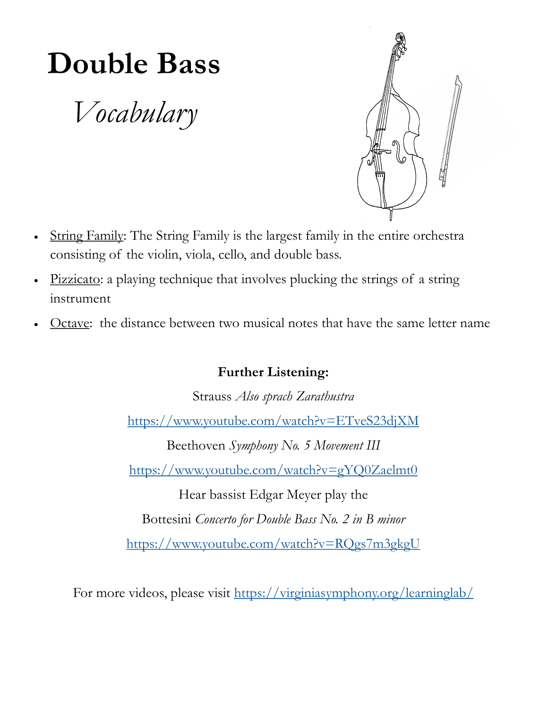## **Double Bass**

*Vocabulary*



- String Family: The String Family is the largest family in the entire orchestra consisting of the violin, viola, cello, and double bass.
- Pizzicato: a playing technique that involves plucking the strings of a string instrument
- Octave: the distance between two musical notes that have the same letter name

## **Further Listening:**

Strauss *Also sprach Zarathustra* <https://www.youtube.com/watch?v=ETveS23djXM> Beethoven *Symphony No. 5 Movement III*

<https://www.youtube.com/watch?v=gYQ0Zaelmt0>

Hear bassist Edgar Meyer play the

Bottesini *Concerto for Double Bass No. 2 in B minor*

<https://www.youtube.com/watch?v=RQgs7m3gkgU>

For more videos, please visit <https://virginiasymphony.org/learninglab/>